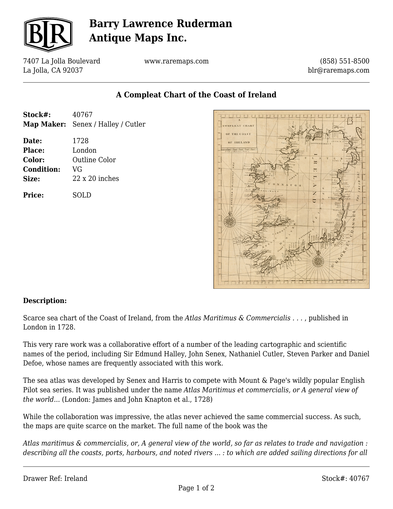

# **Barry Lawrence Ruderman Antique Maps Inc.**

7407 La Jolla Boulevard La Jolla, CA 92037

www.raremaps.com

(858) 551-8500 blr@raremaps.com

### **A Compleat Chart of the Coast of Ireland**

| Stock#:                                                        | 40767<br>Map Maker: Senex / Halley / Cutler                    |
|----------------------------------------------------------------|----------------------------------------------------------------|
| Date:<br><b>Place:</b><br>Color:<br><b>Condition:</b><br>Size: | 1728<br>London<br>Outline Color<br>VG<br>$22 \times 20$ inches |
| Price:                                                         | SOLD                                                           |
|                                                                |                                                                |



#### **Description:**

Scarce sea chart of the Coast of Ireland, from the *Atlas Maritimus & Commercialis . . .* , published in London in 1728.

This very rare work was a collaborative effort of a number of the leading cartographic and scientific names of the period, including Sir Edmund Halley, John Senex, Nathaniel Cutler, Steven Parker and Daniel Defoe, whose names are frequently associated with this work.

The sea atlas was developed by Senex and Harris to compete with Mount & Page's wildly popular English Pilot sea series. It was published under the name *Atlas Maritimus et commercialis, or A general view of the world...* (London: James and John Knapton et al., 1728)

While the collaboration was impressive, the atlas never achieved the same commercial success. As such, the maps are quite scarce on the market. The full name of the book was the

*Atlas maritimus & commercialis, or, A general view of the world, so far as relates to trade and navigation : describing all the coasts, ports, harbours, and noted rivers ... : to which are added sailing directions for all*